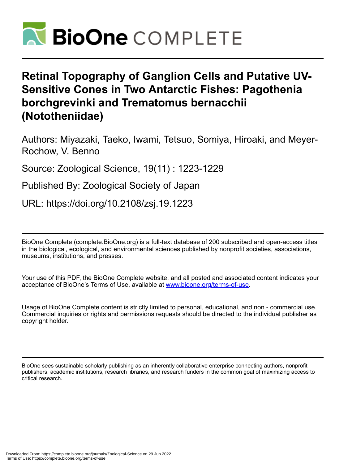

# **Retinal Topography of Ganglion Cells and Putative UV-Sensitive Cones in Two Antarctic Fishes: Pagothenia borchgrevinki and Trematomus bernacchii (Nototheniidae)**

Authors: Miyazaki, Taeko, Iwami, Tetsuo, Somiya, Hiroaki, and Meyer-Rochow, V. Benno

Source: Zoological Science, 19(11) : 1223-1229

Published By: Zoological Society of Japan

URL: https://doi.org/10.2108/zsj.19.1223

BioOne Complete (complete.BioOne.org) is a full-text database of 200 subscribed and open-access titles in the biological, ecological, and environmental sciences published by nonprofit societies, associations, museums, institutions, and presses.

Your use of this PDF, the BioOne Complete website, and all posted and associated content indicates your acceptance of BioOne's Terms of Use, available at www.bioone.org/terms-of-use.

Usage of BioOne Complete content is strictly limited to personal, educational, and non - commercial use. Commercial inquiries or rights and permissions requests should be directed to the individual publisher as copyright holder.

BioOne sees sustainable scholarly publishing as an inherently collaborative enterprise connecting authors, nonprofit publishers, academic institutions, research libraries, and research funders in the common goal of maximizing access to critical research.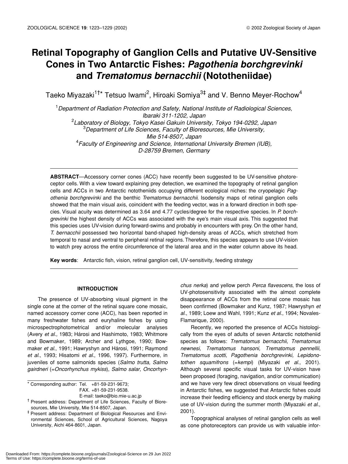# **Retinal Topography of Ganglion Cells and Putative UV-Sensitive Cones in Two Antarctic Fishes:** *Pagothenia borchgrevinki* **and** *Trematomus bernacchii* **(Nototheniidae)**

Taeko Miyazaki<sup>1†\*</sup> Tetsuo Iwami<sup>2</sup>, Hiroaki Somiya<sup>3‡</sup> and V. Benno Meyer-Rochow<sup>4</sup>

1 *Department of Radiation Protection and Safety, National Institute of Radiological Sciences, Ibaraki 311-1202, Japan* 2 *Laboratory of Biology, Tokyo Kasei Gakuin University, Tokyo 194-0292, Japan* 3 *Department of Life Sciences, Faculty of Bioresources, Mie University, Mie 514-8507, Japan* 4 *Faculty of Engineering and Science, International University Bremen (IUB), D-28759 Bremen, Germany*

**ABSTRACT**—Accessory corner cones (ACC) have recently been suggested to be UV-sensitive photoreceptor cells. With a view toward explaining prey detection, we examined the topography of retinal ganglion cells and ACCs in two Antarctic nototheniids occupying different ecological niches: the cryopelagic *Pagothenia borchgrevinki* and the benthic *Trematomus bernacchii*. Isodensity maps of retinal ganglion cells showed that the main visual axis, coincident with the feeding vector, was in a forward direction in both species. Visual acuity was determined as 3.64 and 4.77 cycles/degree for the respective species. In *P. borchgrevinki* the highest density of ACCs was associated with the eye's main visual axis. This suggested that this species uses UV-vision during forward-swims and probably in encounters with prey. On the other hand, *T. bernacchii* possessed two horizontal band-shaped high-density areas of ACCs, which stretched from temporal to nasal and ventral to peripheral retinal regions. Therefore, this species appears to use UV-vision to watch prey across the entire circumference of the lateral area and in the water column above its head.

**Key words**: Antarctic fish, vision, retinal ganglion cell, UV-sensitivity, feeding strategy

# **INTRODUCTION**

The presence of UV-absorbing visual pigment in the single cone at the corner of the retinal square cone mosaic, named accessory corner cone (ACC), has been reported in many freshwater fishes and euryhaline fishes by using microspectrophotometrical and/or molecular analyses (Avery *et al*., 1983; Hárosi and Hashimoto, 1983; Whitmore and Bowmaker, 1989; Archer and Lythgoe, 1990; Bowmaker *et al*., 1991; Hawryshyn and Hárosi, 1991; Raymond *et al*., 1993; Hisatomi *et al*., 1996, 1997). Furthermore, in juveniles of some salmonids species (*Salmo trutta, Salmo gairdneri* (=*Oncorhynchus mykiss*), *Salmo salar, Oncorhyn-*

\* Corresponding author: Tel. +81-59-231-9673; FAX. +81-59-231-9538.

E-mail: taeko@bio.mie-u.ac.jp

† Present address: Department of Life Sciences, Faculty of Bioresources, Mie University, Mie 514-8507, Japan.

*chus nerka*) and yellow perch *Perca flavescens*, the loss of UV-photosensitivity associated with the almost complete disappearance of ACCs from the retinal cone mosaic has been confirmed (Bowmaker and Kunz, 1987; Hawryshyn *et al*., 1989; Loew and Wahl, 1991; Kunz *et al*., 1994; Novales-Flamarique, 2000).

Recently, we reported the presence of ACCs histologically from the eyes of adults of seven Antarctic nototheniid species as follows: *Trematomus bernacchii, Trematomus newnesi, Trematomus hansoni, Trematomus pennellii, Trematomus scotti, Pagothenia borchgrevinki, Lepidonotothen squamifrons* (=*kempi*) (Miyazaki *et al*., 2001). Although several specific visual tasks for UV-vision have been proposed (foraging, navigation, and/or communication) and we have very few direct observations on visual feeding in Antarctic fishes, we suggested that Antarctic fishes could increase their feeding efficiency and stock energy by making use of UV-vision during the summer month (Miyazaki *et al*., 2001).

Topographical analyses of retinal ganglion cells as well as cone photoreceptors can provide us with valuable infor-

<sup>‡</sup> Present address: Department of Biological Resources and Environmental Sciences, School of Agricultural Sciences, Nagoya University, Aichi 464-8601, Japan.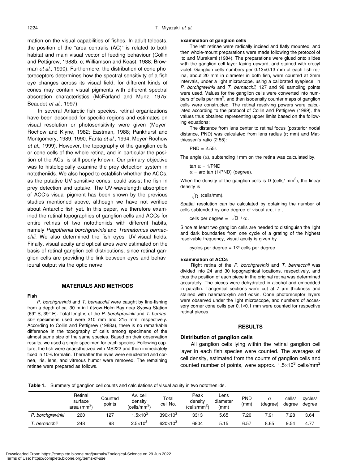mation on the visual capabilities of fishes. In adult teleosts, the position of the "area centralis (AC)" is related to both habitat and main visual vector of feeding behaviour (Collin and Pettigrew, 1988b, c; Williamson and Keast, 1988; Browman *et al*., 1990). Furthermore, the distribution of cone photoreceptors determines how the spectral sensitivity of a fish eye changes across its visual field, for different kinds of cones may contain visual pigments with different spectral absorption characteristics (McFarland and Munz, 1975; Beaudet *et al*., 1997).

In several Antarctic fish species, retinal organizations have been described for specific regions and estimates on visual resolution or photosensitivity were given (Meyer-Rochow and Klyne, 1982; Eastman, 1988; Pankhurst and Montgomery, 1989, 1990; Fanta *et al*., 1994, Meyer-Rochow *et al*., 1999). However, the topography of the ganglion cells or cone cells of the whole retina, and in particular the position of the ACs, is still poorly known. Our primary objective was to histologically examine the prey detection system in nototheniids. We also hoped to establish whether the ACCs, as the putative UV-sensitive cones, could assist the fish in prey detection and uptake. The UV-wavelength absorption of ACC's visual pigment has been shown by the previous studies mentioned above, although we have not verified about Antarctic fish yet. In this paper, we therefore examined the retinal topographies of ganglion cells and ACCs for entire retinas of two nototheniids with different habits, namely *Pagothenia borchgrevinki* and *Trematomus bernacchii*. We also determined the fish eyes' UV-visual fields. Finally, visual acuity and optical axes were estimated on the basis of retinal ganglion cell distributions, since retinal ganglion cells are providing the link between eyes and behavioural output via the optic nerve.

# **MATERIALS AND METHODS**

#### **Fish**

*P. borchgrevinki* and *T. bernacchii* were caught by line-fishing from a depth of ca. 30 m in Lützow-Holm Bay near Syowa Station (69° S, 39° E). Total lengths of the *P. borchgrevinki* and *T. bernacchii* specimens used were 210 mm and 215 mm, respectively. According to Collin and Pettigrew (1988a), there is no remarkable difference in the topography of cells among specimens of the almost same size of the same species. Based on their observation results, we used a single specimen for each species. Following capture, the fish were anaesthetized with MS222 and then immediately fixed in 10% formalin. Thereafter the eyes were enucleated and cornea, iris, lens, and vitreous humor were removed. The remaining retinae were prepared as follows.

#### **Examination of ganglion cells**

The left retinae were radically incised and flatly mounted, and then whole-mount preparations were made following the protocol of Ito and Murakami (1984). The preparations were glued onto slides with the ganglion cell layer facing upward, and stained with crecyl violet. Ganglion cells numbers per 0.13×0.13 mm of each fish retina, about 20 mm in diameter in both fish, were counted at 2mm intervals, under a light microscope, using a calibrated eyepiece. In *P. borchgrevinki* and *T. bernacchii*, 127 and 98 sampling points were used. Values for the ganglion cells were converted into numbers of cells per mm<sup>2</sup>, and then isodensity counter maps of ganglion cells were constructed. The retinal resolving powers were calculated according to the protocol of Collin and Pettigrew (1989), the values thus obtained representing upper limits based on the following equations:

The distance from lens center to retinal focus (posterior nodal distance, PND) was calculated from lens radius (r; mm) and Matthiessen's ratio (2.55):

PND = 2.55r.

The angle  $(\alpha)$ , subtending 1mm on the retina was calculated by,

tan α = 1/PND  $\alpha$  = arc tan (1/PND) (degree).

When the density of the ganglion cells is D (cells/ $\text{mm}^2$ ), the linear density is

(cells/mm). D

Spatial resolution can be calculated by obtaining the number of cells subtended by one degree of visual arc, i.e.,

cells per degree =  $\sqrt{\mathsf{D}}$  /  $\alpha$  .

Since at least two ganglion cells are needed to distinguish the light and dark boundaries from one cycle of a grating of the highest resolvable frequency, visual acuity is given by

cycles per degree = 1/2 cells per degree

#### **Examination of ACCs**

Right retina of the *P. borchgrevinki* and *T. bernacchii* was divided into 24 and 30 topographical locations, respectively, and thus the position of each piece in the original retina was determined accurately. The pieces were dehydrated in alcohol and embedded in paraffin. Tangential sections were cut at 7 µm thickness and stained with haematoxylin and eosin. Cone photoreceptor layers were observed under the light microscope, and numbers of accessory corner cone cells per  $0.1 \times 0.1$  mm were counted for respective retinal pieces.

#### **RESULTS**

### **Distribution of ganglion cells**

All ganglion cells lying within the retinal ganglion cell layer in each fish species were counted. The averages of cell density, estimated from the counts of ganglion cells and counted number of points, were approx.  $1.5 \times 10^3$  cells/mm<sup>2</sup>

**Table 1.** Summery of ganglion cell counts and calculations of visual acuity in two nototheniids.

|                  | Retinal<br>surface<br>area $(mm^2)$ | Counted<br>points | Av. cell<br>density<br>(cells/mm <sup>2</sup> ) | Total<br>cell No. | Peak<br>density<br>(cells/mm <sup>2)</sup> | Lens<br>diameter<br>(mm) | <b>PND</b><br>(mm) | $\alpha$<br>(degree) | cells/<br>degree | cvcles/<br>degree |
|------------------|-------------------------------------|-------------------|-------------------------------------------------|-------------------|--------------------------------------------|--------------------------|--------------------|----------------------|------------------|-------------------|
| P. borchgrevinki | 260                                 | 127               | $1.5\times10^3$                                 | $390\times10^{3}$ | 3313                                       | 5.65                     | 7.20               | 7.91                 | '.28             | 3.64              |
| . bernacchii     | 248                                 | 98                | $2.5 \times 10^{3}$                             | $620\times10^{3}$ | 6804                                       | 5.15                     | 6.57               | 8.65                 | 9.54             | 4.77              |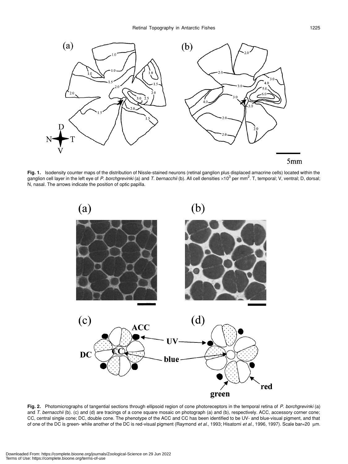

**Fig. 1.** Isodensity counter maps of the distribution of Nissle-stained neurons (retinal ganglion plus displaced amacrine cells) located within the ganglion cell layer in the left eye of *P. borchgrevinki* (a) and *T. bernacchii* (b). All cell densities ×10<sup>3</sup> per mm<sup>2</sup>. T, temporal; V, ventral; D, dorsal; N, nasal. The arrows indicate the position of optic papilla.



**Fig. 2.** Photomicrographs of tangential sections through ellipsoid region of cone photoreceptors in the temporal retina of *P. borchgrevinki* (a) and *T. bernacchii* (b). (c) and (d) are tracings of a cone square mosaic on photograph (a) and (b), respectively. ACC, accessory corner cone; CC, central single cone; DC, double cone. The phenotype of the ACC and CC has been identified to be UV- and blue-visual pigment, and that of one of the DC is green- while another of the DC is red-visual pigment (Raymond *et al*., 1993; Hisatomi *et al*., 1996, 1997). Scale bar=20 µm.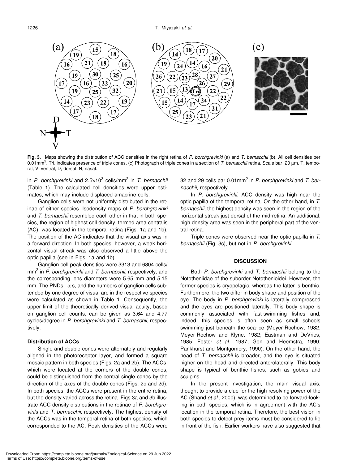

**Fig. 3.** Maps showing the distribution of ACC densities in the right retina of *P. borchgrevinki* (a) and *T. bernacchii* (b). All cell densities per 0.01mm<sup>2</sup>. Tri. indicates presence of triple cones. (c) Photograph of triple cones in a section of *T. bernacchii* retina. Scale bar=20 μm. T, temporal; V, ventral; D, dorsal; N, nasal.

in *P. borchgrevinki* and 2.5×103 cells/mm2 in *T. bernacchii* (Table 1). The calculated cell densities were upper estimates, which may include displaced amacrine cells.

Ganglion cells were not uniformly distributed in the retinae of either species. Isodensity maps of *P. borchgrevinki* and *T. bernacchii* resembled each other in that in both species, the region of highest cell density, termed area centralis (AC), was located in the temporal retina (Figs. 1a and 1b). The position of the AC indicates that the visual axis was in a forward direction. In both species, however, a weak horizontal visual streak was also observed a little above the optic papilla (see in Figs. 1a and 1b).

Ganglion cell peak densities were 3313 and 6804 cells/ mm2 in *P. borchgrevinki* and *T. bernacchii*, respectively, and the corresponding lens diameters were 5.65 mm and 5.15 mm. The PNDs,  $\alpha$  s, and the numbers of ganglion cells subtended by one degree of visual arc in the respective species were calculated as shown in Table 1. Consequently, the upper limit of the theoretically derived visual acuity, based on ganglion cell counts, can be given as 3.64 and 4.77 cycles/degree in *P. borchgrevinki* and *T. bernacchii*, respectively.

# **Distribution of ACCs**

Single and double cones were alternately and regularly aligned in the photoreceptor layer, and formed a square mosaic pattern in both species (Figs. 2a and 2b). The ACCs, which were located at the corners of the double cones, could be distinguished from the central single cones by the direction of the axes of the double cones (Figs. 2c and 2d). In both species, the ACCs were present in the entire retina, but the density varied across the retina. Figs.3a and 3b illustrate ACC density distributions in the retinae of *P. borchgrevinki* and *T. bernacchii*, respectively. The highest density of the ACCs was in the temporal retina of both species, which corresponded to the AC. Peak densities of the ACCs were

32 and 29 cells par 0.01mm2 in *P. borchgrevinki* and *T. bernacchii*, respectively.

In *P. borchgrevinki*, ACC density was high near the optic papilla of the temporal retina. On the other hand, in *T. bernacchii*, the highest density was seen in the region of the horizontal streak just dorsal of the mid-retina. An additional, high density area was seen in the peripheral part of the ventral retina.

Triple cones were observed near the optic papilla in *T. bernacchii* (Fig. 3c), but not in *P. borchgrevinki*.

# **DISCUSSION**

Both *P. borchgrevinki* and *T. bernacchii* belong to the Nototheniidae of the suborder Notothenioidei. However, the former species is cryopelagic, whereas the latter is benthic. Furthermore, the two differ in body shape and position of the eye. The body in *P. borchgrevinki* is laterally compressed and the eyes are positioned laterally. This body shape is commonly associated with fast-swimming fishes and, indeed, this species is often seen as small schools swimming just beneath the sea-ice (Meyer-Rochow, 1982; Meyer-Rochow and Klyne, 1982; Eastman and DeVries, 1985; Foster *et al*., 1987; Gon and Heemstra, 1990; Pankhurst and Montgomery, 1990). On the other hand, the head of *T. bernacchii* is broader, and the eye is situated higher on the head and directed anterolaterally. This body shape is typical of benthic fishes, such as gobies and sculpins.

In the present investigation, the main visual axis, thought to provide a clue for the high resolving power of the AC (Shand *et al*., 2000), was determined to be forward-looking in both species, which is in agreement with the AC's location in the temporal retina. Therefore, the best vision in both species to detect prey items must be considered to lie in front of the fish. Earlier workers have also suggested that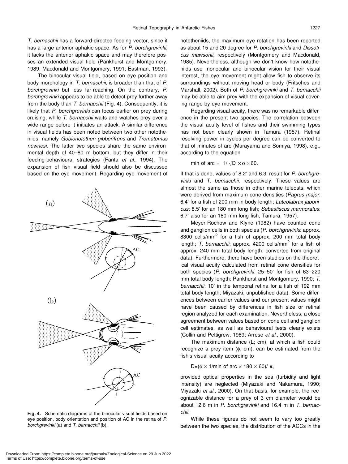*T. bernacchii* has a forward-directed feeding vector, since it has a large anterior aphakic space. As for *P. borchgrevinki*, it lacks the anterior aphakic space and may therefore posses an extended visual field (Pankhurst and Montgomery, 1989; Macdonald and Montgomery, 1991; Eastman, 1993).

The binocular visual field, based on eye position and body morphology in *T. bernacchii*, is broader than that of *P. borchgrevinki* but less far-reaching. On the contrary, *P. borchgrevinki* appears to be able to detect prey further away from the body than *T. bernacchii* (Fig. 4). Consequently, it is likely that *P. borchgrevinki* can focus earlier on prey during cruising, while *T. bernacchii* waits and watches prey over a wide range before it initiates an attack. A similar difference in visual fields has been noted between two other nototheniids, namely *Gobionotothen gibberifrons* and *Trematomus newnesi*. The latter two species share the same environmental depth of 40–80 m bottom, but they differ in their feeding-behavioural strategies (Fanta *et al*., 1994). The expansion of fish visual field should also be discussed based on the eye movement. Regarding eye movement of

 $(a)$ AC  $(b)$ 

**Fig. 4.** Schematic diagrams of the binocular visual fields based on eye position, body orientation and position of AC in the retina of *P. borchgrevinki* (a) and *T. bernacchii* (b).

nototheniids, the maximum eye rotation has been reported as about 15 and 20 degree for *P. borchgrevinki* and *Dissoticus mawsonii*, respectively (Montgomery and Macdonald, 1985). Nevertheless, although we don't know how nototheniids use monocular and binocular vision for their visual interest, the eye movement might allow fish to observe its surroundings without moving head or body (Fritsches and Marshall, 2002). Both of *P. borchgrevinki* and *T. bernacchii* may be able to aim prey with the expansion of visual covering range by eye movement.

Regarding visual acuity, there was no remarkable difference in the present two species. The correlation between the visual acuity level of fishes and their swimming types has not been clearly shown in Tamura (1957). Retinal resolving power in cycles per degree can be converted to that of minutes of arc (Murayama and Somiya, 1998), e.g., according to the equation

min of arc =  $1/\sqrt{D} \times \alpha \times 60$ .

If that is done, values of 8.2' and 6.3' result for *P. borchgrevinki* and *T. bernacchii*, respectively. These values are almost the same as those in other marine teleosts, which were derived from maximum cone densities (*Pagrus major*: 6.4' for a fish of 200 mm in body length; *Lateolabrax japonicus*: 8.5' for an 180 mm long fish; *Sebastiscus marmoratus*: 6.7' also for an 180 mm long fish, Tamura, 1957).

Meyer-Rochow and Klyne (1982) have counted cone and ganglion cells in both species (*P. borchgrevinki*: approx. 8300 cells/mm<sup>2</sup> for a fish of approx. 200 mm total body length; T. bernacchii: approx. 4200 cells/mm<sup>2</sup> for a fish of approx. 240 mm total body length: converted from original data). Furthermore, there have been studies on the theoretical visual acuity calculated from retinal cone densities for both species (*P. borchgrevinki*: 25–50' for fish of 63–220 mm total body length: Pankhurst and Montgomery, 1990; *T. bernacchii*: 10' in the temporal retina for a fish of 192 mm total body length; Miyazaki, unpublished data). Some differences between earlier values and our present values might have been caused by differences in fish size or retinal region analyzed for each examination. Nevertheless, a close agreement between values based on cone cell and ganglion cell estimates, as well as behavioural tests clearly exists (Collin and Pettigrew, 1989; Arrese *et al*., 2000).

The maximum distance (L; cm), at which a fish could recognize a prey item (φ; cm), can be estimated from the fish's visual acuity according to

D=( $\phi \times 1$ /min of arc  $\times 180 \times 60$ )/ $\pi$ ,

provided optical properties in the sea (turbidity and light intensity) are neglected (Miyazaki and Nakamura, 1990; Miyazaki *et al*., 2000). On that basis, for example, the recognizable distance for a prey of 3 cm diameter would be about 12.6 m in *P. borchgrevinki* and 16.4 m in *T. bernacchii*.

While these figures do not seem to vary too greatly between the two species, the distribution of the ACCs in the

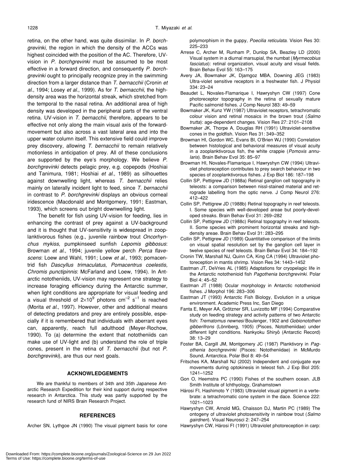retina, on the other hand, was quite dissimilar. In *P. borchgrevinki*, the region in which the density of the ACCs was highest coincided with the position of the AC. Therefore, UVvision in *P. borchgrevinki* must be assumed to be most effective in a forward direction, and consequently *P. borchgrevinki* ought to principally recognize prey in the swimming direction from a larger distance than *T. bernacchii* (Cronin *et al*., 1994; Losey *et al*., 1999). As for *T. bernacchii*, the highdensity area was the horizontal streak, which stretched from the temporal to the nasal retina. An additional area of high density was developed in the peripheral parts of the ventral retina. UV-vision in *T. bernacchii*, therefore, appears to be effective not only along the main visual axis of the forwardmovement but also across a vast lateral area and into the upper water column itself. This extensive field could improve prey discovery, allowing *T. bernacchii* to remain relatively motionless in anticipation of prey. All of these conclusions are supported by the eye's morphology. We believe *P. borchgrevinki* detects pelagic prey, e.g. copepods (Hoshiai and Tanimura, 1981; Hoshiai *et al*., 1989) as silhouettes against downwelling light, whereas *T. bernacchii* relies mainly on laterally incident light to feed, since *T. bernacchii* in contrast to *P. borchgrevinki* displays an obvious corneal iridescence (Macdonald and Montgomery, 1991; Eastman, 1993), which screens out bright downwelling light.

The benefit for fish using UV-vision for feeding, lies in enhancing the contrast of prey against a UV-background and it is thought that UV-sensitivity is widespread in zooplanktivorous fishes (e.g., juvenile rainbow trout *Oncorhynchus mykiss*, pumpkinseed sunfish *Lepomis gibbosus*: Browman *et al*., 1994; juvenile yellow perch *Perca flavescens*: Loew and Wahl, 1991; Loew *et al*., 1993; pomacentrid fish *Dascyllus trimaculatus*, *Pomacentrus coelestis, Chromis punctipinnis*: McFarland and Loew, 1994). In Antarctic nototheniids, UV-vision may represent one strategy to increase foraging efficiency during the Antarctic summer, when light conditions are appropriate for visual feeding and a visual threshold of 2×10<sup>9</sup> photons cm<sup>-2</sup> s<sup>-1</sup> is reached (Morita *et al*., 1997). However, other and additional means of detecting predators and prey are entirely possible, especially if it is remembered that individuals with aberrant eyes can, apparently, reach full adulthood (Meyer-Rochow, 1990). To (a) determine the extent that nototheniids can make use of UV-light and (b) understand the role of triple cones, present in the retina of *T. bernacchii* (but not *P. borchgrevinki*), are thus our next goals.

#### **ACKNOWLEDGEMENTS**

We are thankful to members of 34th and 35th Japanese Antarctic Research Expedition for their kind support during respective research in Antarctica. This study was partly supported by the research fund of NIRS Brain Research Project.

#### **REFERENCES**

Archer SN, Lythgoe JN (1990) The visual pigment basis for cone

polymorphism in the guppy, *Poecilia reticulata*. Vision Res 30: 225–233

- Arrese C, Archer M, Runham P, Dunlop SA, Beazley LD (2000) Visual system in a diurnal marsupial, the numbat (*Myrmecobius fasciatus*): retinal organization, visual acuity and visual fields. Brain Behav Evol 55: 163–175
- Avery JA, Bowmaker JK, Djamgoz MBA, Downing JEG (1983) Ultra-violet sensitive receptors in a freshwater fish. J Physiol 334: 23–24
- Beaudet L, Novales-Flamarique I, Hawryshyn CW (1997) Cone photoreceptor topography in the retina of sexually mature Pacific salmonid fishes. J Comp Neurol 383: 49–59
- Bowmaker JK, Kunz YW (1987) Ultraviolet receptors, tetrachromatic colour vision and retinal mosaics in the brown trout (*Salmo trutta*): age-dependent changes. Vision Res 27: 2101–2108
- Bowmaker JK, Thorpe A, Douglas RH (1991) Ultraviolet-sensitive cones in the goldfish. Vision Res 31: 349–352
- Browman HI, Gordon WC, Evans BI, O'Brien WJ (1990) Correlation between histological and behavioral measures of visual acuity in a zooplanktivorous fish, the white crappie (*Pomoxis annularis*). Brain Behav Evol 35: 85–97
- Browman HI, Novales-Flamarique I, Hawryshyn CW (1994) Ultraviolet photoreception contributes to prey search behaviour in two species of zooplanktivorous fishes. J Exp Biol 186: 187–198
- Collin SP, Pettigrew JD (1988a) Retinal ganglion cell topography in teleosts: a comparison between nissl-stained material and retrograde labelling from the optic nerve. J Comp Neurol 276: 412–422
- Collin SP, Pettigrew JD (1988b) Retinal topography in reef teleosts. I. Some species with well-developed areae but poorly-developed streaks. Brain Behav Evol 31: 269–282
- Collin SP, Pettigrew JD (1988c) Retinal topography in reef teleosts. II. Some species with prominent horizontal streaks and highdensity areae. Brain Behav Evol 31: 283–295
- Collin SP, Pettigrew JD (1989) Quantitative comparison of the limits on visual spatial resolution set by the ganglion cell layer in twelve species of reef teleosts. Brain Behav Evol 34: 184–192
- Cronin TW, Marshall NJ, Quinn CA, King CA (1994) Ultraviolet photoreception in mantis shrimp. Vision Res 34: 1443–1452
- Eastman JT, DeVries AL (1985) Adaptations for cryopelagic life in the Antarctic notothenioid fish *Pagothenia borchgrevinki*. Polar Biol 4: 45–52
- Eastman JT (1988) Ocular morphology in Antarctic notothenioid fishes. J Morphol 196: 283–306
- Eastman JT (1993) Antarctic Fish Biology, Evolution in a unique environment. Academic Press Inc, San Diego
- Fanta E, Meyer AA, Grötzner SR, Luvizotto MF (1994) Comparative study on feeding strategy and activity patterns of two Antarctic fish: *Trematomus newnesi* Boulenger, 1902 and *Gobionotothen gibberifrons* (Lönnberg, 1905) (Pisces, Nototheniidae) under different light conditions. Nankyoku Shiryô (Antarctic Record) 38: 13–29
- Foster BA, Cargill JM, Montgomery JC (1987) Planktivory in *Pagothenia borchgrevinki* (Pisces: Nototheniidae) in McMurdo Sound, Antarctica. Polar Biol 8: 49–54
- Fritsches KA, Marshall NJ (2002) Independent and conjugate eye movements during optokinesis in teleost fish. J Exp Biol 205: 1241–1252
- Gon O, Heemstra PC (1990) Fishes of the southern ocean. JLB Smith Institute of Ichthyology, Grahamstown
- Hárosi FI, Hashimoto Y (1983) Ultraviolet visual pigment in a vertebrate: a tetrachromatic cone system in the dace. Science 222: 1021–1023
- Hawryshyn CW, Arnold MG, Chaisson DJ, Martin PC (1989) The ontogeny of ultraviolet photosensitivity in rainbow trout (*Salmo gairdneri*). Visual Neurosci 2: 247–254
- Hawryshyn CW, Hárosi FI (1991) Ultraviolet photoreception in carp: